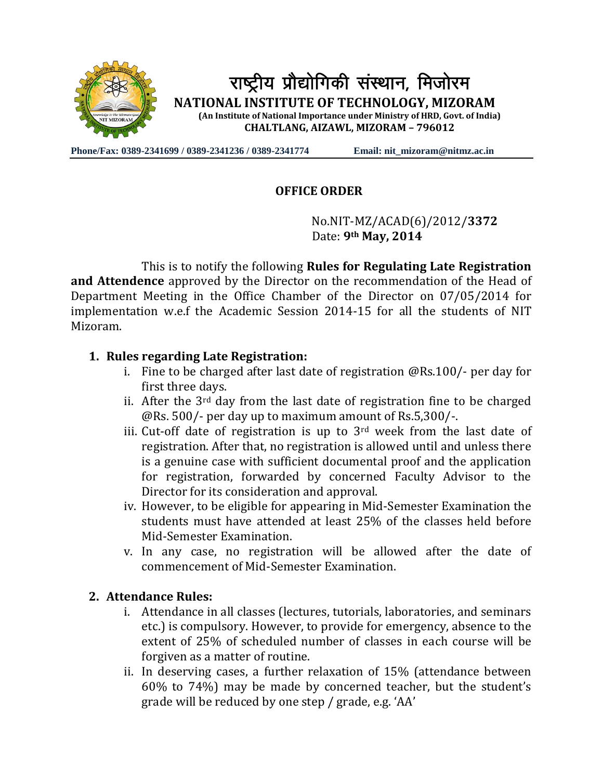

**Phone/Fax: 0389-2341699 / 0389-2341236 / 0389-2341774 Email: nit\_mizoram@nitmz.ac.in**

## **OFFICE ORDER**

 No.NIT-MZ/ACAD(6)/2012/**3372** Date: **9th May, 2014**

This is to notify the following **Rules for Regulating Late Registration and Attendence** approved by the Director on the recommendation of the Head of Department Meeting in the Office Chamber of the Director on 07/05/2014 for implementation w.e.f the Academic Session 2014-15 for all the students of NIT Mizoram.

## **1. Rules regarding Late Registration:**

- i. Fine to be charged after last date of registration @Rs.100/- per day for first three days.
- ii. After the  $3<sup>rd</sup>$  day from the last date of registration fine to be charged @Rs. 500/- per day up to maximum amount of Rs.5,300/-.
- iii. Cut-off date of registration is up to  $3<sup>rd</sup>$  week from the last date of registration. After that, no registration is allowed until and unless there is a genuine case with sufficient documental proof and the application for registration, forwarded by concerned Faculty Advisor to the Director for its consideration and approval.
- iv. However, to be eligible for appearing in Mid-Semester Examination the students must have attended at least 25% of the classes held before Mid-Semester Examination.
- v. In any case, no registration will be allowed after the date of commencement of Mid-Semester Examination.

## **2. Attendance Rules:**

- i. Attendance in all classes (lectures, tutorials, laboratories, and seminars etc.) is compulsory. However, to provide for emergency, absence to the extent of 25% of scheduled number of classes in each course will be forgiven as a matter of routine.
- ii. In deserving cases, a further relaxation of 15% (attendance between 60% to 74%) may be made by concerned teacher, but the student's grade will be reduced by one step / grade, e.g. 'AA'